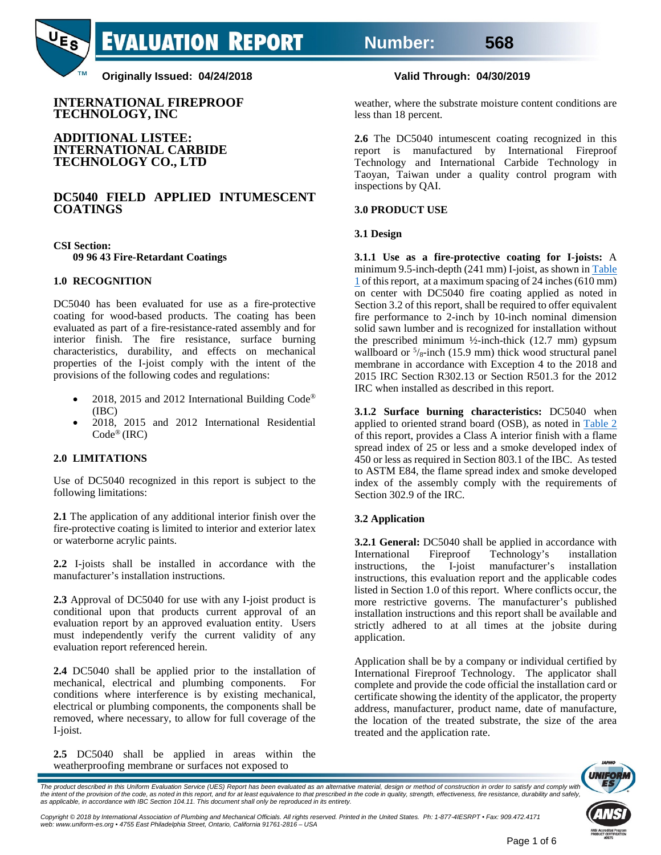# **Number: 568**



**Originally Issued: 04/24/2018 Valid Through: 04/30/2019**

**INTERNATIONAL FIREPROOF TECHNOLOGY, INC**

#### **ADDITIONAL LISTEE: INTERNATIONAL CARBIDE TECHNOLOGY CO., LTD**

### **DC5040 FIELD APPLIED INTUMESCENT COATINGS**

**CSI Section: 09 96 43 Fire-Retardant Coatings**

#### **1.0 RECOGNITION**

DC5040 has been evaluated for use as a fire-protective coating for wood-based products. The coating has been evaluated as part of a fire-resistance-rated assembly and for interior finish. The fire resistance, surface burning characteristics, durability, and effects on mechanical properties of the I-joist comply with the intent of the provisions of the following codes and regulations:

- 2018, 2015 and 2012 International Building Code<sup>®</sup> (IBC)
- 2018, 2015 and 2012 International Residential Code® (IRC)

#### **2.0 LIMITATIONS**

Use of DC5040 recognized in this report is subject to the following limitations:

**2.1** The application of any additional interior finish over the fire-protective coating is limited to interior and exterior latex or waterborne acrylic paints.

**2.2** I-joists shall be installed in accordance with the manufacturer's installation instructions.

**2.3** Approval of DC5040 for use with any I-joist product is conditional upon that products current approval of an evaluation report by an approved evaluation entity. Users must independently verify the current validity of any evaluation report referenced herein.

**2.4** DC5040 shall be applied prior to the installation of mechanical, electrical and plumbing components. For conditions where interference is by existing mechanical, electrical or plumbing components, the components shall be removed, where necessary, to allow for full coverage of the I-joist.

**2.5** DC5040 shall be applied in areas within the weatherproofing membrane or surfaces not exposed to

weather, where the substrate moisture content conditions are less than 18 percent.

**2.6** The DC5040 intumescent coating recognized in this report is manufactured by International Fireproof Technology and International Carbide Technology in Taoyan, Taiwan under a quality control program with inspections by QAI.

#### **3.0 PRODUCT USE**

#### **3.1 Design**

**3.1.1 Use as a fire-protective coating for I-joists:** A minimum 9.5-inch-depth (241 mm) I-joist, as shown i[n Table](#page-2-0)  [1](#page-2-0) of this report, at a maximum spacing of 24 inches (610 mm) on center with DC5040 fire coating applied as noted in Section 3.2 of this report, shall be required to offer equivalent fire performance to 2-inch by 10-inch nominal dimension solid sawn lumber and is recognized for installation without the prescribed minimum ½-inch-thick (12.7 mm) gypsum wallboard or  $\frac{5}{8}$ -inch (15.9 mm) thick wood structural panel membrane in accordance with Exception 4 to the 2018 and 2015 IRC Section R302.13 or Section R501.3 for the 2012 IRC when installed as described in this report.

**3.1.2 Surface burning characteristics:** DC5040 when applied to oriented strand board (OSB), as noted in [Table 2](#page-3-0) of this report, provides a Class A interior finish with a flame spread index of 25 or less and a smoke developed index of 450 or less as required in Section 803.1 of the IBC. As tested to ASTM E84, the flame spread index and smoke developed index of the assembly comply with the requirements of Section 302.9 of the IRC.

#### **3.2 Application**

**3.2.1 General:** DC5040 shall be applied in accordance with International Fireproof Technology's installation instructions, the I-joist manufacturer's installation instructions, this evaluation report and the applicable codes listed in Section 1.0 of this report. Where conflicts occur, the more restrictive governs. The manufacturer's published installation instructions and this report shall be available and strictly adhered to at all times at the jobsite during application.

Application shall be by a company or individual certified by International Fireproof Technology. The applicator shall complete and provide the code official the installation card or certificate showing the identity of the applicator, the property address, manufacturer, product name, date of manufacture, the location of the treated substrate, the size of the area treated and the application rate.



The product described in this Uniform Evaluation Service (UES) Report has been evaluated as an alternative material, design or method of construction in order to satisfy and comply with the intent of the provision of the code, as noted in this report, and for at least equivalence to that prescribed in the code in quality, strength, effectiveness, fire resistance, durability and safely,<br>as applicable, in a

Copyright © 2018 by International Association of Plumbing and Mechanical Officials. All rights reserved. Printed in the United States. Ph: 1-877-4IESRPT • Fax: 909.472.4171<br>web: www.uniform-es.org • 4755 East Philadelphia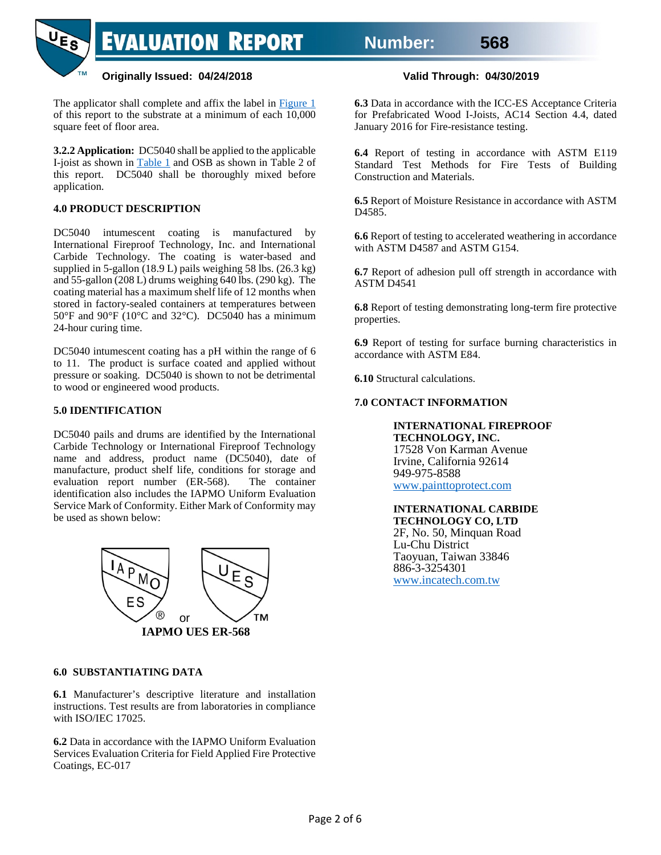# **Originally Issued: 04/24/2018 Valid Through: 04/30/2019**

The applicator shall complete and affix the label in [Figure 1](#page-4-0) of this report to the substrate at a minimum of each 10,000 square feet of floor area.

**3.2.2 Application:** DC5040 shall be applied to the applicable I-joist as shown in [Table 1](#page-2-0) and OSB as shown in Table 2 of this report. DC5040 shall be thoroughly mixed before application.

# **4.0 PRODUCT DESCRIPTION**

**TM** 

DC5040 intumescent coating is manufactured by International Fireproof Technology, Inc. and International Carbide Technology. The coating is water-based and supplied in 5-gallon (18.9 L) pails weighing 58 lbs. (26.3 kg) and 55-gallon (208 L) drums weighing 640 lbs. (290 kg). The coating material has a maximum shelf life of 12 months when stored in factory-sealed containers at temperatures between 50°F and 90°F (10°C and 32°C). DC5040 has a minimum 24-hour curing time.

DC5040 intumescent coating has a pH within the range of 6 to 11. The product is surface coated and applied without pressure or soaking. DC5040 is shown to not be detrimental to wood or engineered wood products.

# **5.0 IDENTIFICATION**

DC5040 pails and drums are identified by the International Carbide Technology or International Fireproof Technology name and address, product name (DC5040), date of manufacture, product shelf life, conditions for storage and evaluation report number (ER-568). The container evaluation report number (ER-568). identification also includes the IAPMO Uniform Evaluation Service Mark of Conformity. Either Mark of Conformity may be used as shown below:



### **6.0 SUBSTANTIATING DATA**

**6.1** Manufacturer's descriptive literature and installation instructions. Test results are from laboratories in compliance with ISO/IEC 17025.

**6.2** Data in accordance with the IAPMO Uniform Evaluation Services Evaluation Criteria for Field Applied Fire Protective Coatings, EC-017

**6.3** Data in accordance with the ICC-ES Acceptance Criteria for Prefabricated Wood I-Joists, AC14 Section 4.4, dated January 2016 for Fire-resistance testing.

**6.4** Report of testing in accordance with ASTM E119 Standard Test Methods for Fire Tests of Building Construction and Materials.

**6.5** Report of Moisture Resistance in accordance with ASTM D4585.

**6.6** Report of testing to accelerated weathering in accordance with ASTM D4587 and ASTM G154.

**6.7** Report of adhesion pull off strength in accordance with ASTM D4541

**6.8** Report of testing demonstrating long-term fire protective properties.

**6.9** Report of testing for surface burning characteristics in accordance with ASTM E84.

**6.10** Structural calculations.

#### **7.0 CONTACT INFORMATION**

#### **INTERNATIONAL FIREPROOF TECHNOLOGY, INC.** 17528 Von Karman Avenue

Irvine, California 92614 949-975-8588 [www.painttoprotect.com](http://www.painttoprotect.com/)

#### **INTERNATIONAL CARBIDE TECHNOLOGY CO, LTD** 2F, No. 50, Minquan Road Lu-Chu District

Taoyuan, Taiwan 33846 886-3-3254301 [www.incatech.com.tw](http://www.incatech.com.tw/)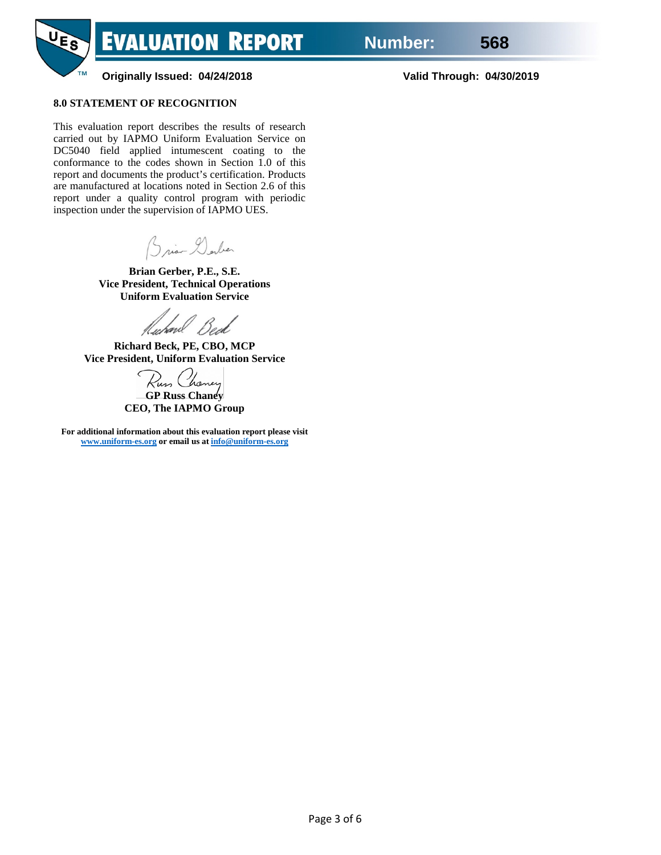

### **8.0 STATEMENT OF RECOGNITION**

**TM** 

This evaluation report describes the results of research carried out by IAPMO Uniform Evaluation Service on DC5040 field applied intumescent coating to the conformance to the codes shown in Section 1.0 of this report and documents the product's certification. Products are manufactured at locations noted in Section 2.6 of this report under a quality control program with periodic inspection under the supervision of IAPMO UES.

Brian Derber

**Brian Gerber, P.E., S.E. Vice President, Technical Operations Uniform Evaluation Service**

fluhavl

**Richard Beck, PE, CBO, MCP Vice President, Uniform Evaluation Service**

Rus Chancer

**GP Russ Chaney CEO, The IAPMO Group**

<span id="page-2-0"></span>**For additional information about this evaluation report please visit [www.uniform-es.org](http://www.uniform-es.org/) or email us a[t info@uniform-es.org](mailto:info@uniform-es.org)**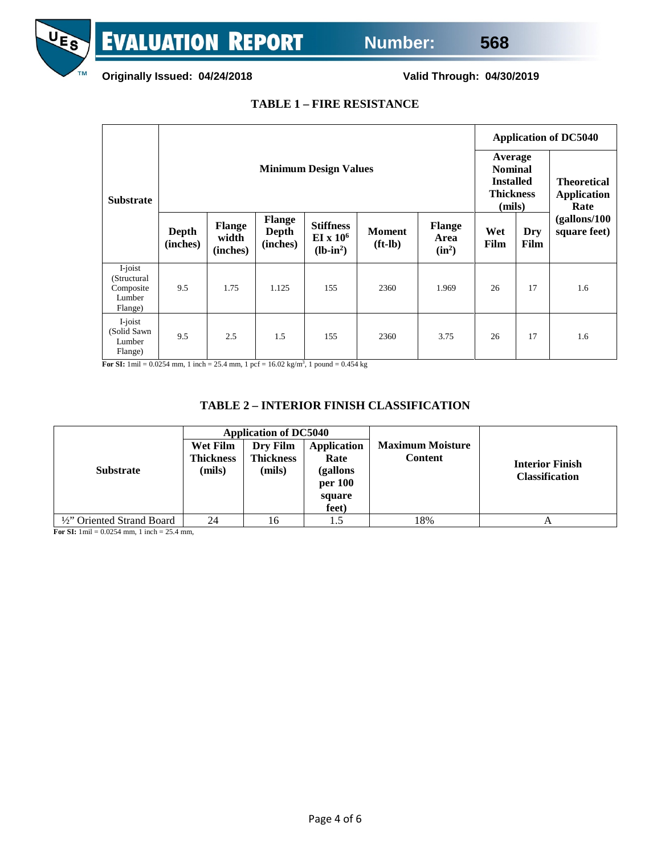

**Originally Issued: 04/24/2018 Valid Through: 04/30/2019**

# **TABLE 1 – FIRE RESISTANCE**

|                                                           |                              |                             | <b>Application of DC5040</b>       |                                                        |                            |                                   |             |                                                                             |                                                  |  |
|-----------------------------------------------------------|------------------------------|-----------------------------|------------------------------------|--------------------------------------------------------|----------------------------|-----------------------------------|-------------|-----------------------------------------------------------------------------|--------------------------------------------------|--|
| <b>Substrate</b>                                          | <b>Minimum Design Values</b> |                             |                                    |                                                        |                            |                                   |             | Average<br><b>Nominal</b><br><b>Installed</b><br><b>Thickness</b><br>(mils) | <b>Theoretical</b><br><b>Application</b><br>Rate |  |
|                                                           | Depth<br>(inches)            | Flange<br>width<br>(inches) | <b>Flange</b><br>Depth<br>(inches) | <b>Stiffness</b><br>EI x 10 <sup>6</sup><br>$(lb-in2)$ | <b>Moment</b><br>$(ft-lb)$ | <b>Flange</b><br>Area<br>$(in^2)$ | Wet<br>Film | Dry<br>Film                                                                 | (gallons/100)<br>square feet)                    |  |
| I-joist<br>(Structural)<br>Composite<br>Lumber<br>Flange) | 9.5                          | 1.75                        | 1.125                              | 155                                                    | 2360                       | 1.969                             | 26          | 17                                                                          | 1.6                                              |  |
| I-joist<br>(Solid Sawn<br>Lumber<br>Flange)               | 9.5                          | 2.5                         | 1.5                                | 155                                                    | 2360                       | 3.75                              | 26          | 17                                                                          | 1.6                                              |  |

**For SI:**  $1 \text{ mil} = 0.0254 \text{ mm}$ ,  $1 \text{ inch} = 25.4 \text{ mm}$ ,  $1 \text{ pcf} = 16.02 \text{ kg/m}^3$ ,  $1 \text{ pound} = 0.454 \text{ kg}$ 

# **TABLE 2 – INTERIOR FINISH CLASSIFICATION**

<span id="page-3-0"></span>

|                            |                                 | <b>Application of DC5040</b>    |                                                                      |                                           |                                                 |  |  |  |
|----------------------------|---------------------------------|---------------------------------|----------------------------------------------------------------------|-------------------------------------------|-------------------------------------------------|--|--|--|
| <b>Substrate</b>           | Wet Film<br>Thickness<br>(mils) | Dry Film<br>Thickness<br>(mils) | <b>Application</b><br>Rate<br>(gallons<br>per 100<br>square<br>feet) | <b>Maximum Moisture</b><br><b>Content</b> | <b>Interior Finish</b><br><b>Classification</b> |  |  |  |
| 1/2" Oriented Strand Board | 24                              | 16                              |                                                                      | 18%                                       | A                                               |  |  |  |

**For SI:** 1mil = 0.0254 mm, 1 inch = 25.4 mm,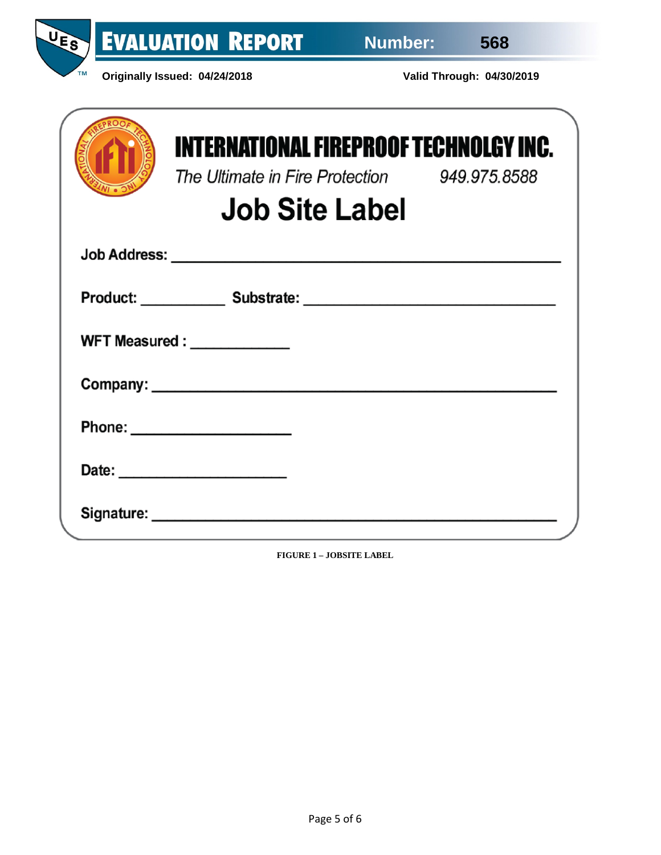

UE<sub>S</sub>

| <b>INTERNATIONAL FIREPROOF TECHNOLGY INC.</b><br>The Ultimate in Fire Protection 949.975.8588<br><b>Job Site Label</b> |  |
|------------------------------------------------------------------------------------------------------------------------|--|
|                                                                                                                        |  |
| Product: Substrate: Substrate:                                                                                         |  |
| WFT Measured : _____________                                                                                           |  |
|                                                                                                                        |  |
|                                                                                                                        |  |
|                                                                                                                        |  |
|                                                                                                                        |  |

<span id="page-4-0"></span>**FIGURE 1 – JOBSITE LABEL**